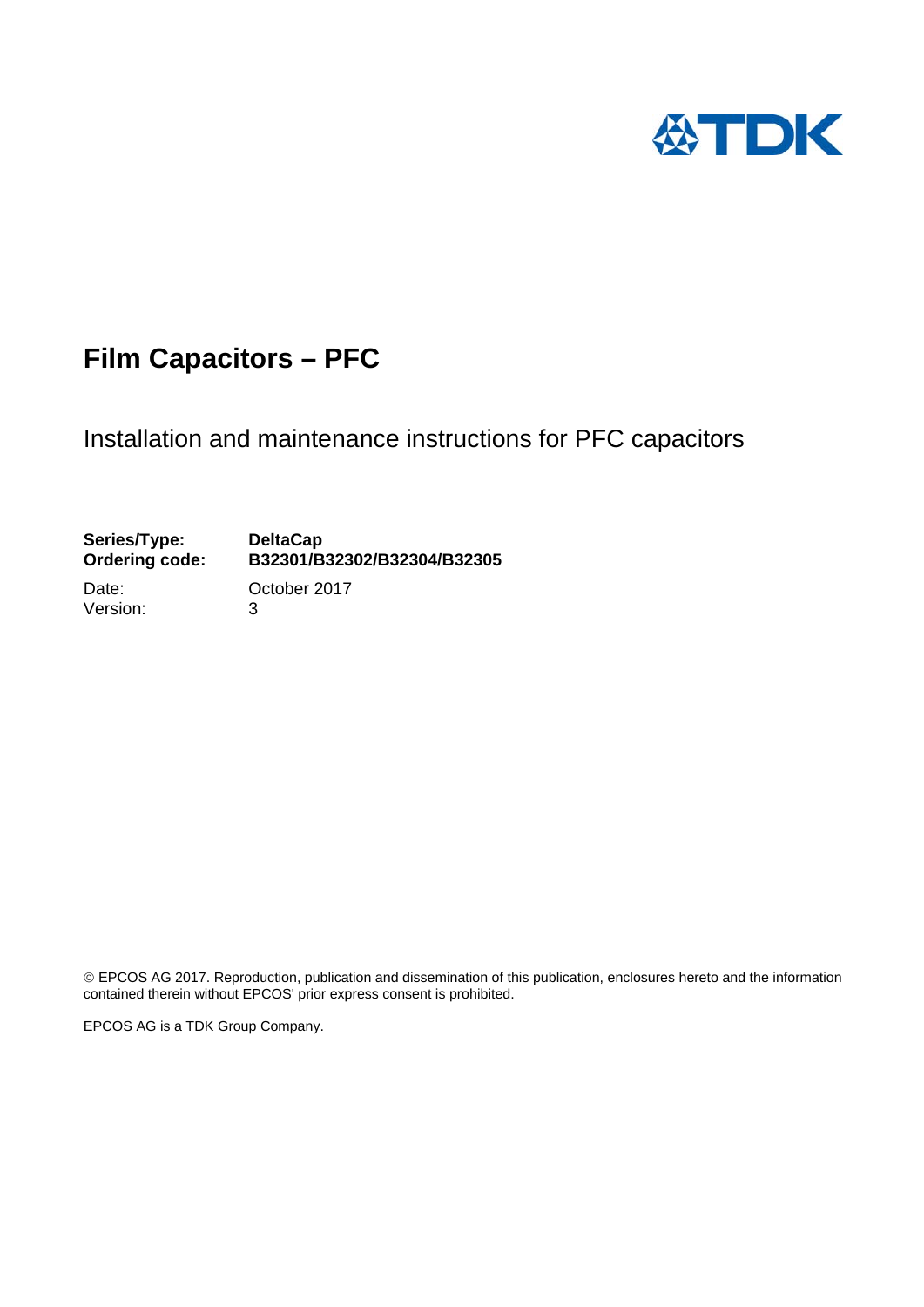

# **Film Capacitors – PFC**

Installation and maintenance instructions for PFC capacitors

## Series/Type: DeltaCap<br>Ordering code: B32301/B **Ordering code: B32301/B32302/B32304/B32305**

Version: 3

Date: **October 2017** 

 EPCOS AG 2017. Reproduction, publication and dissemination of this publication, enclosures hereto and the information contained therein without EPCOS' prior express consent is prohibited.

EPCOS AG is a TDK Group Company.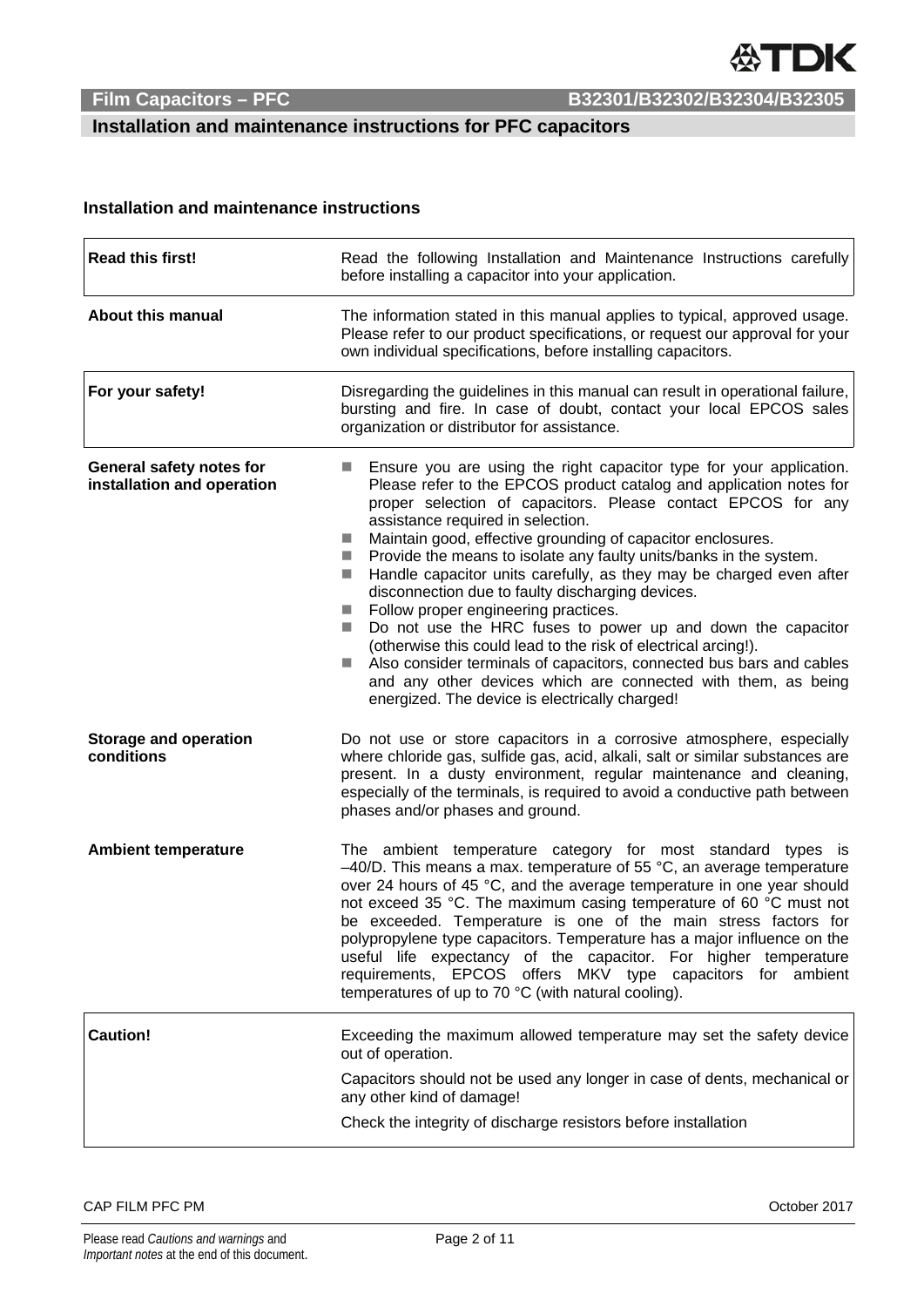**Installation and maintenance instructions for PFC capacitors** 

### **Installation and maintenance instructions**

| <b>Read this first!</b>                                | Read the following Installation and Maintenance Instructions carefully<br>before installing a capacitor into your application.                                                                                                                                                                                                                                                                                                                                                                                                                                                                                                                                                                                                                                                                                                                                                                                                                                                                   |  |  |
|--------------------------------------------------------|--------------------------------------------------------------------------------------------------------------------------------------------------------------------------------------------------------------------------------------------------------------------------------------------------------------------------------------------------------------------------------------------------------------------------------------------------------------------------------------------------------------------------------------------------------------------------------------------------------------------------------------------------------------------------------------------------------------------------------------------------------------------------------------------------------------------------------------------------------------------------------------------------------------------------------------------------------------------------------------------------|--|--|
| <b>About this manual</b>                               | The information stated in this manual applies to typical, approved usage.<br>Please refer to our product specifications, or request our approval for your<br>own individual specifications, before installing capacitors.                                                                                                                                                                                                                                                                                                                                                                                                                                                                                                                                                                                                                                                                                                                                                                        |  |  |
| For your safety!                                       | Disregarding the guidelines in this manual can result in operational failure,<br>bursting and fire. In case of doubt, contact your local EPCOS sales<br>organization or distributor for assistance.                                                                                                                                                                                                                                                                                                                                                                                                                                                                                                                                                                                                                                                                                                                                                                                              |  |  |
| General safety notes for<br>installation and operation | Ensure you are using the right capacitor type for your application.<br>Please refer to the EPCOS product catalog and application notes for<br>proper selection of capacitors. Please contact EPCOS for any<br>assistance required in selection.<br>Maintain good, effective grounding of capacitor enclosures.<br><b>Single Street</b><br>Provide the means to isolate any faulty units/banks in the system.<br>$\mathcal{L}_{\mathcal{A}}$<br>Handle capacitor units carefully, as they may be charged even after<br><b>In</b><br>disconnection due to faulty discharging devices.<br>Follow proper engineering practices.<br>$\mathcal{L}_{\mathcal{A}}$<br>Do not use the HRC fuses to power up and down the capacitor<br>$\sim$<br>(otherwise this could lead to the risk of electrical arcing!).<br>Also consider terminals of capacitors, connected bus bars and cables<br>and any other devices which are connected with them, as being<br>energized. The device is electrically charged! |  |  |
| <b>Storage and operation</b><br>conditions             | Do not use or store capacitors in a corrosive atmosphere, especially<br>where chloride gas, sulfide gas, acid, alkali, salt or similar substances are<br>present. In a dusty environment, regular maintenance and cleaning,<br>especially of the terminals, is required to avoid a conductive path between<br>phases and/or phases and ground.                                                                                                                                                                                                                                                                                                                                                                                                                                                                                                                                                                                                                                                   |  |  |
| <b>Ambient temperature</b>                             | The ambient temperature category for most standard types is<br>$-40/D$ . This means a max. temperature of 55 °C, an average temperature<br>over 24 hours of 45 °C, and the average temperature in one year should<br>not exceed 35 °C. The maximum casing temperature of 60 °C must not<br>be exceeded. Temperature is one of the main stress factors for<br>polypropylene type capacitors. Temperature has a major influence on the<br>useful life expectancy of the capacitor. For higher temperature<br>requirements, EPCOS offers MKV type capacitors for ambient<br>temperatures of up to 70 °C (with natural cooling).                                                                                                                                                                                                                                                                                                                                                                     |  |  |
| <b>Caution!</b>                                        | Exceeding the maximum allowed temperature may set the safety device<br>out of operation.                                                                                                                                                                                                                                                                                                                                                                                                                                                                                                                                                                                                                                                                                                                                                                                                                                                                                                         |  |  |
|                                                        | Capacitors should not be used any longer in case of dents, mechanical or<br>any other kind of damage!                                                                                                                                                                                                                                                                                                                                                                                                                                                                                                                                                                                                                                                                                                                                                                                                                                                                                            |  |  |
|                                                        | Check the integrity of discharge resistors before installation                                                                                                                                                                                                                                                                                                                                                                                                                                                                                                                                                                                                                                                                                                                                                                                                                                                                                                                                   |  |  |

### CAP FILM PFC PM October 2017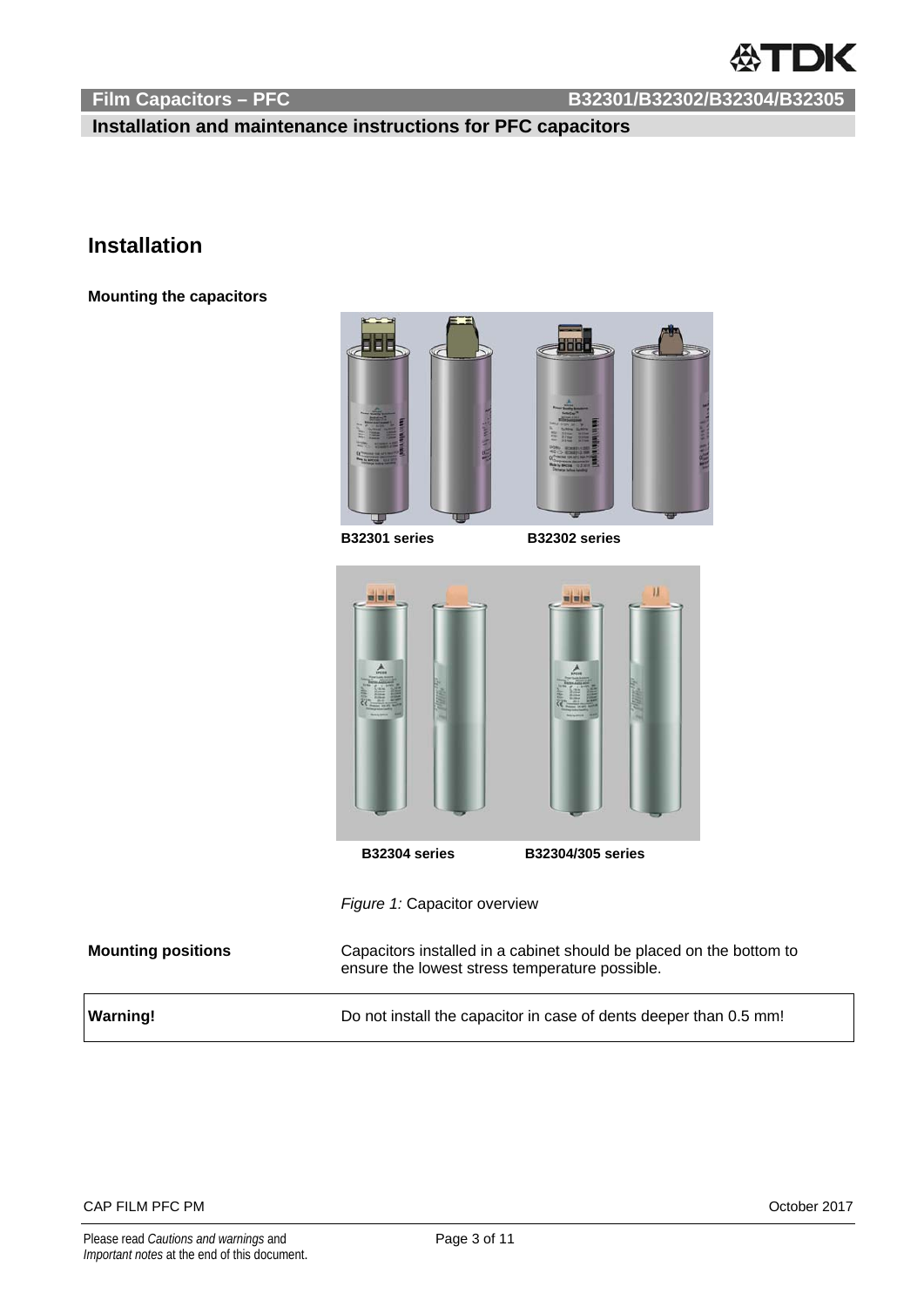

 **Installation and maintenance instructions for PFC capacitors** 

## **Installation**

**Mounting the capacitors** 



**B32301 series B32302 series**



*Figure 1:* Capacitor overview

| <b>Mounting positions</b> | Capacitors installed in a cabinet should be placed on the bottom to<br>ensure the lowest stress temperature possible. |
|---------------------------|-----------------------------------------------------------------------------------------------------------------------|
| <b>Warning!</b>           | Do not install the capacitor in case of dents deeper than 0.5 mm!                                                     |

CAP FILM PFC PM October 2017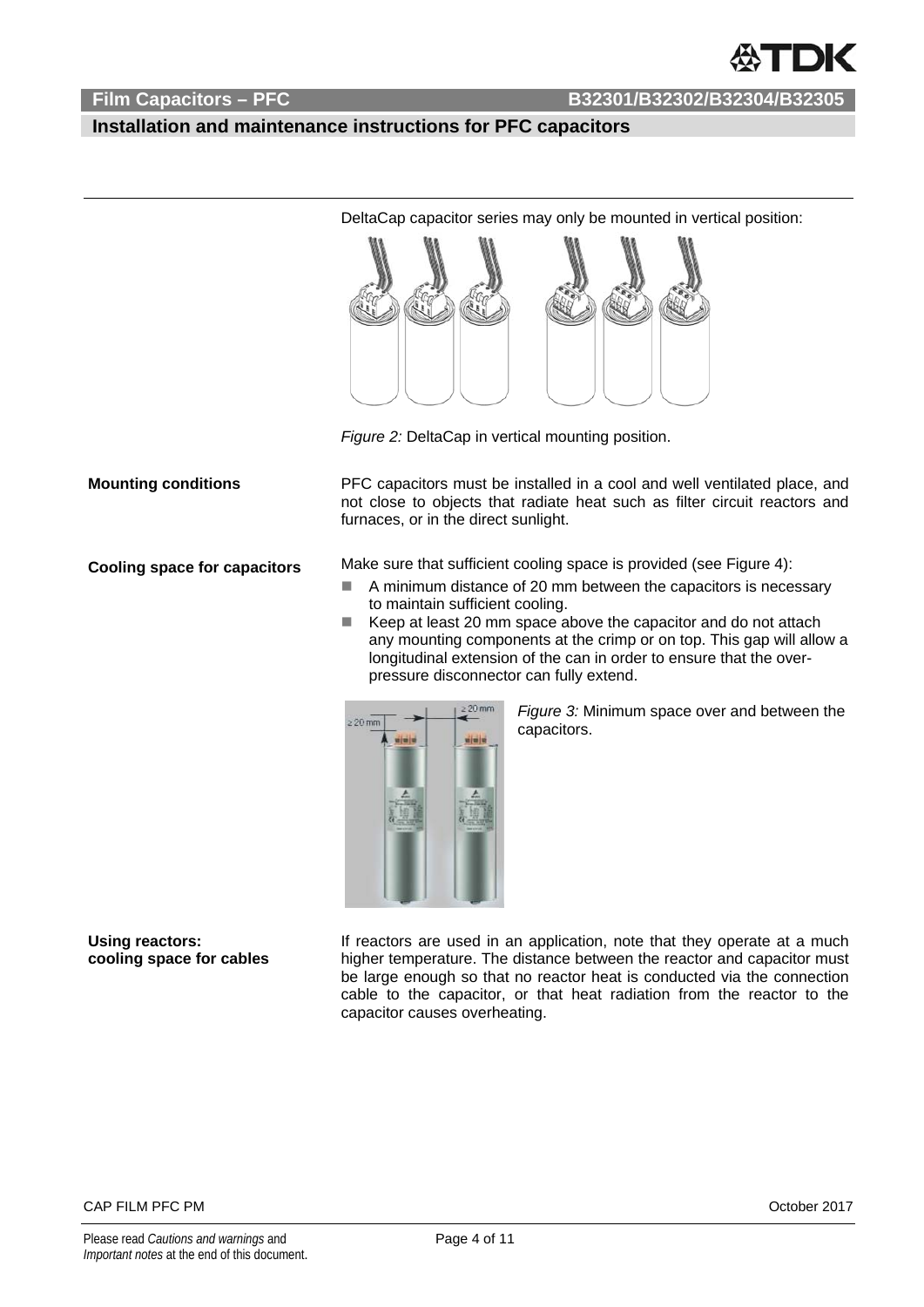### **Installation and maintenance instructions for PFC capacitors**



DeltaCap capacitor series may only be mounted in vertical position:

*Figure 2:* DeltaCap in vertical mounting position.

**Mounting conditions** PFC capacitors must be installed in a cool and well ventilated place, and not close to objects that radiate heat such as filter circuit reactors and furnaces, or in the direct sunlight.

**Cooling space for capacitors** Make sure that sufficient cooling space is provided (see Figure 4):

- A minimum distance of 20 mm between the capacitors is necessary to maintain sufficient cooling.
- $\blacksquare$  Keep at least 20 mm space above the capacitor and do not attach any mounting components at the crimp or on top. This gap will allow a longitudinal extension of the can in order to ensure that the overpressure disconnector can fully extend.



*Figure 3:* Minimum space over and between the capacitors.

**Using reactors: cooling space for cables** 

If reactors are used in an application, note that they operate at a much higher temperature. The distance between the reactor and capacitor must be large enough so that no reactor heat is conducted via the connection cable to the capacitor, or that heat radiation from the reactor to the capacitor causes overheating.

### CAP FILM PFC PM October 2017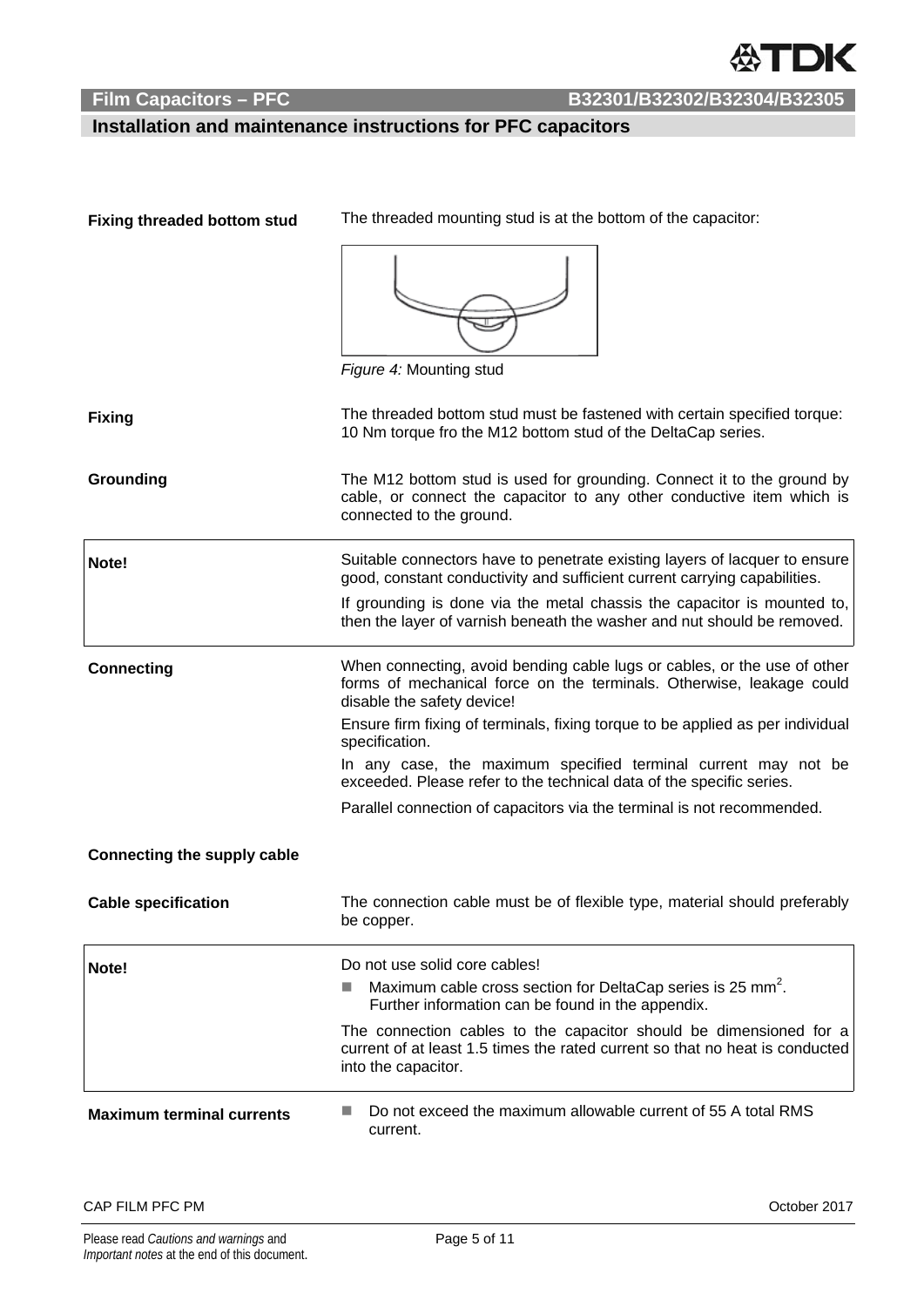

## **Installation and maintenance instructions for PFC capacitors**

| <b>Fixing threaded bottom stud</b> | The threaded mounting stud is at the bottom of the capacitor:                                                                                                                                                                                                                                                                                                                                                                                                                                          |  |  |  |
|------------------------------------|--------------------------------------------------------------------------------------------------------------------------------------------------------------------------------------------------------------------------------------------------------------------------------------------------------------------------------------------------------------------------------------------------------------------------------------------------------------------------------------------------------|--|--|--|
|                                    | Figure 4: Mounting stud                                                                                                                                                                                                                                                                                                                                                                                                                                                                                |  |  |  |
| <b>Fixing</b>                      | The threaded bottom stud must be fastened with certain specified torque:<br>10 Nm torque fro the M12 bottom stud of the DeltaCap series.                                                                                                                                                                                                                                                                                                                                                               |  |  |  |
| Grounding                          | The M12 bottom stud is used for grounding. Connect it to the ground by<br>cable, or connect the capacitor to any other conductive item which is<br>connected to the ground.                                                                                                                                                                                                                                                                                                                            |  |  |  |
| Note!                              | Suitable connectors have to penetrate existing layers of lacquer to ensure<br>good, constant conductivity and sufficient current carrying capabilities.                                                                                                                                                                                                                                                                                                                                                |  |  |  |
|                                    | If grounding is done via the metal chassis the capacitor is mounted to,<br>then the layer of varnish beneath the washer and nut should be removed.                                                                                                                                                                                                                                                                                                                                                     |  |  |  |
| <b>Connecting</b>                  | When connecting, avoid bending cable lugs or cables, or the use of other<br>forms of mechanical force on the terminals. Otherwise, leakage could<br>disable the safety device!<br>Ensure firm fixing of terminals, fixing torque to be applied as per individual<br>specification.<br>In any case, the maximum specified terminal current may not be<br>exceeded. Please refer to the technical data of the specific series.<br>Parallel connection of capacitors via the terminal is not recommended. |  |  |  |
|                                    |                                                                                                                                                                                                                                                                                                                                                                                                                                                                                                        |  |  |  |
| <b>Connecting the supply cable</b> |                                                                                                                                                                                                                                                                                                                                                                                                                                                                                                        |  |  |  |
| <b>Cable specification</b>         | The connection cable must be of flexible type, material should preferably<br>be copper.                                                                                                                                                                                                                                                                                                                                                                                                                |  |  |  |
| Note!                              | Do not use solid core cables!<br>Maximum cable cross section for DeltaCap series is 25 mm <sup>2</sup> .<br>H<br>Further information can be found in the appendix.<br>The connection cables to the capacitor should be dimensioned for a                                                                                                                                                                                                                                                               |  |  |  |
|                                    | current of at least 1.5 times the rated current so that no heat is conducted<br>into the capacitor.                                                                                                                                                                                                                                                                                                                                                                                                    |  |  |  |
| <b>Maximum terminal currents</b>   | Do not exceed the maximum allowable current of 55 A total RMS<br>current.                                                                                                                                                                                                                                                                                                                                                                                                                              |  |  |  |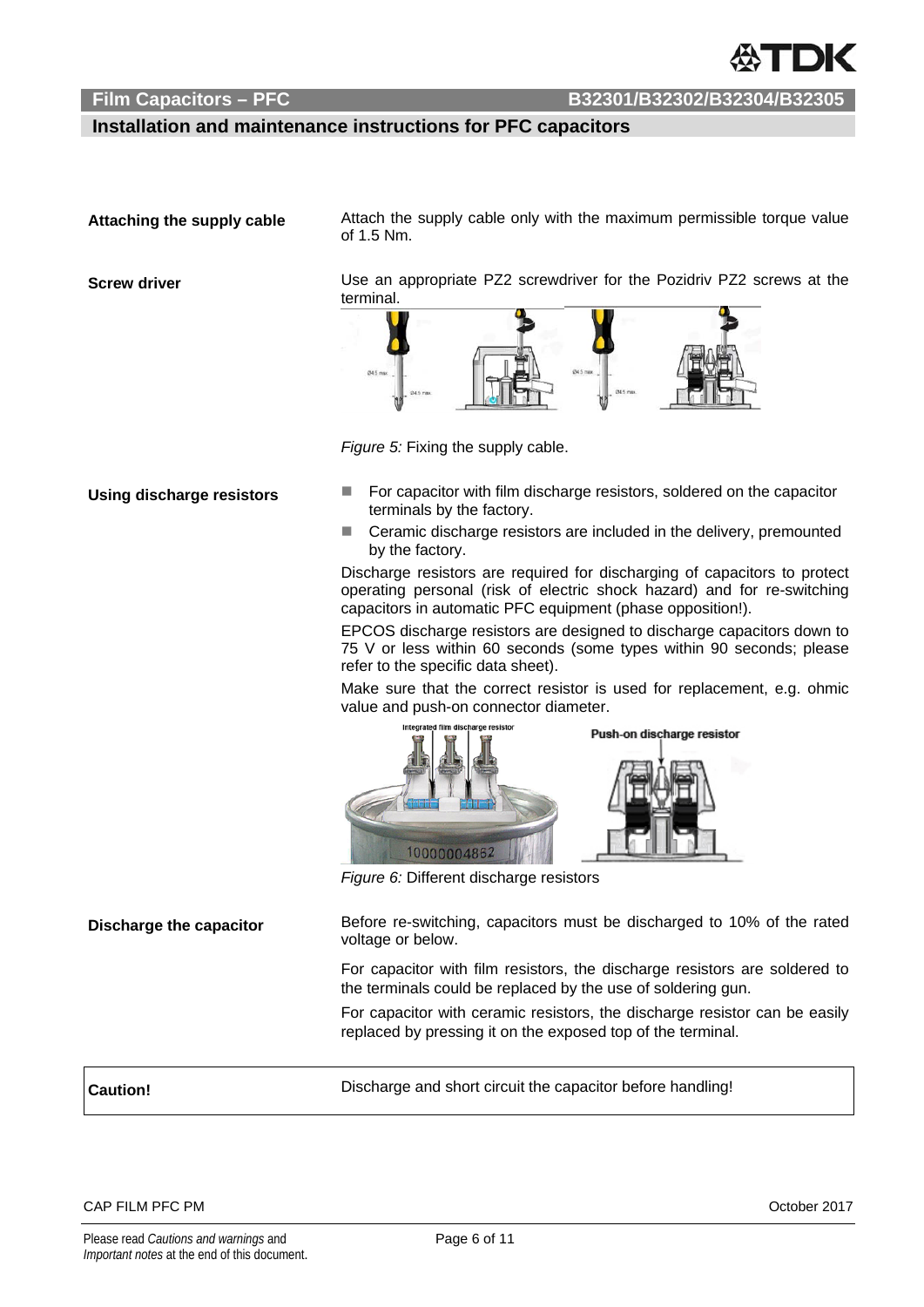### **Installation and maintenance instructions for PFC capacitors**

Attaching the supply cable **Attach the supply cable only with the maximum permissible torque value** of 1.5 Nm.

**Screw driver Late 3** Use an appropriate PZ2 screwdriver for the Pozidriv PZ2 screws at the terminal.



*Figure 5:* Fixing the supply cable.

- Using discharge resistors **EXC FOR** For capacitor with film discharge resistors, soldered on the capacitor terminals by the factory.
	- Ceramic discharge resistors are included in the delivery, premounted by the factory.

Discharge resistors are required for discharging of capacitors to protect operating personal (risk of electric shock hazard) and for re-switching capacitors in automatic PFC equipment (phase opposition!).

EPCOS discharge resistors are designed to discharge capacitors down to 75 V or less within 60 seconds (some types within 90 seconds; please refer to the specific data sheet).

Make sure that the correct resistor is used for replacement, e.g. ohmic value and push-on connector diameter.



*Figure 6:* Different discharge resistors

**Discharge the capacitor** Before re-switching, capacitors must be discharged to 10% of the rated voltage or below.

> For capacitor with film resistors, the discharge resistors are soldered to the terminals could be replaced by the use of soldering gun.

> For capacitor with ceramic resistors, the discharge resistor can be easily replaced by pressing it on the exposed top of the terminal.

**Caution!** Discharge and short circuit the capacitor before handling!

CAP FILM PFC PM  $\overline{O}$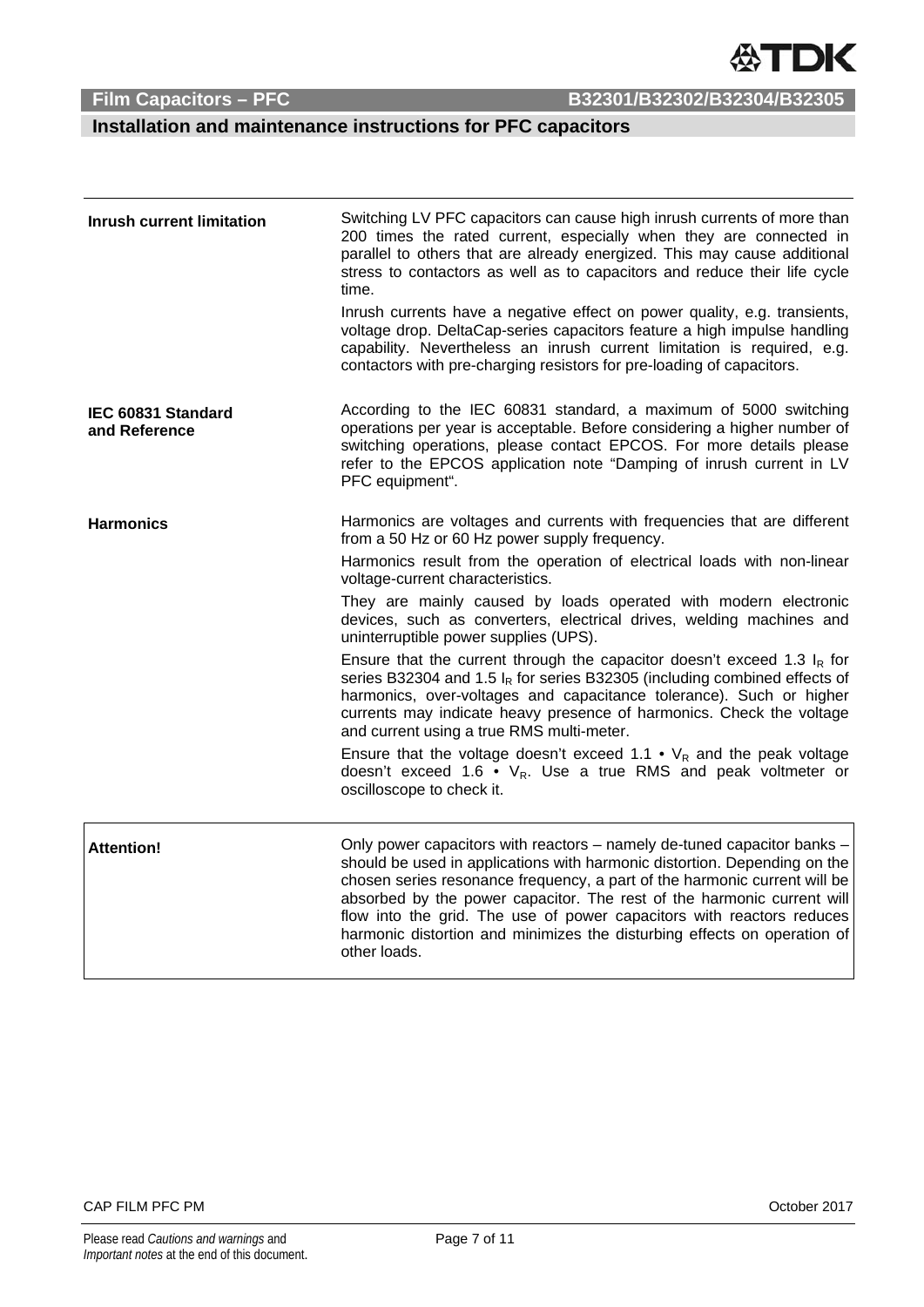

## **Installation and maintenance instructions for PFC capacitors**

| <b>Inrush current limitation</b>    | Switching LV PFC capacitors can cause high inrush currents of more than<br>200 times the rated current, especially when they are connected in<br>parallel to others that are already energized. This may cause additional<br>stress to contactors as well as to capacitors and reduce their life cycle<br>time.                                                                                                                                                                  |
|-------------------------------------|----------------------------------------------------------------------------------------------------------------------------------------------------------------------------------------------------------------------------------------------------------------------------------------------------------------------------------------------------------------------------------------------------------------------------------------------------------------------------------|
|                                     | Inrush currents have a negative effect on power quality, e.g. transients,<br>voltage drop. DeltaCap-series capacitors feature a high impulse handling<br>capability. Nevertheless an inrush current limitation is required, e.g.<br>contactors with pre-charging resistors for pre-loading of capacitors.                                                                                                                                                                        |
| IEC 60831 Standard<br>and Reference | According to the IEC 60831 standard, a maximum of 5000 switching<br>operations per year is acceptable. Before considering a higher number of<br>switching operations, please contact EPCOS. For more details please<br>refer to the EPCOS application note "Damping of inrush current in LV<br>PFC equipment".                                                                                                                                                                   |
| <b>Harmonics</b>                    | Harmonics are voltages and currents with frequencies that are different<br>from a 50 Hz or 60 Hz power supply frequency.                                                                                                                                                                                                                                                                                                                                                         |
|                                     | Harmonics result from the operation of electrical loads with non-linear<br>voltage-current characteristics.                                                                                                                                                                                                                                                                                                                                                                      |
|                                     | They are mainly caused by loads operated with modern electronic<br>devices, such as converters, electrical drives, welding machines and<br>uninterruptible power supplies (UPS).                                                                                                                                                                                                                                                                                                 |
|                                     | Ensure that the current through the capacitor doesn't exceed 1.3 $I_R$ for<br>series B32304 and 1.5 $I_R$ for series B32305 (including combined effects of<br>harmonics, over-voltages and capacitance tolerance). Such or higher<br>currents may indicate heavy presence of harmonics. Check the voltage<br>and current using a true RMS multi-meter.                                                                                                                           |
|                                     | Ensure that the voltage doesn't exceed 1.1 • $V_R$ and the peak voltage<br>doesn't exceed 1.6 • $V_R$ . Use a true RMS and peak voltmeter or<br>oscilloscope to check it.                                                                                                                                                                                                                                                                                                        |
| <b>Attention!</b>                   | Only power capacitors with reactors – namely de-tuned capacitor banks –<br>should be used in applications with harmonic distortion. Depending on the<br>chosen series resonance frequency, a part of the harmonic current will be<br>absorbed by the power capacitor. The rest of the harmonic current will<br>flow into the grid. The use of power capacitors with reactors reduces<br>harmonic distortion and minimizes the disturbing effects on operation of<br>other loads. |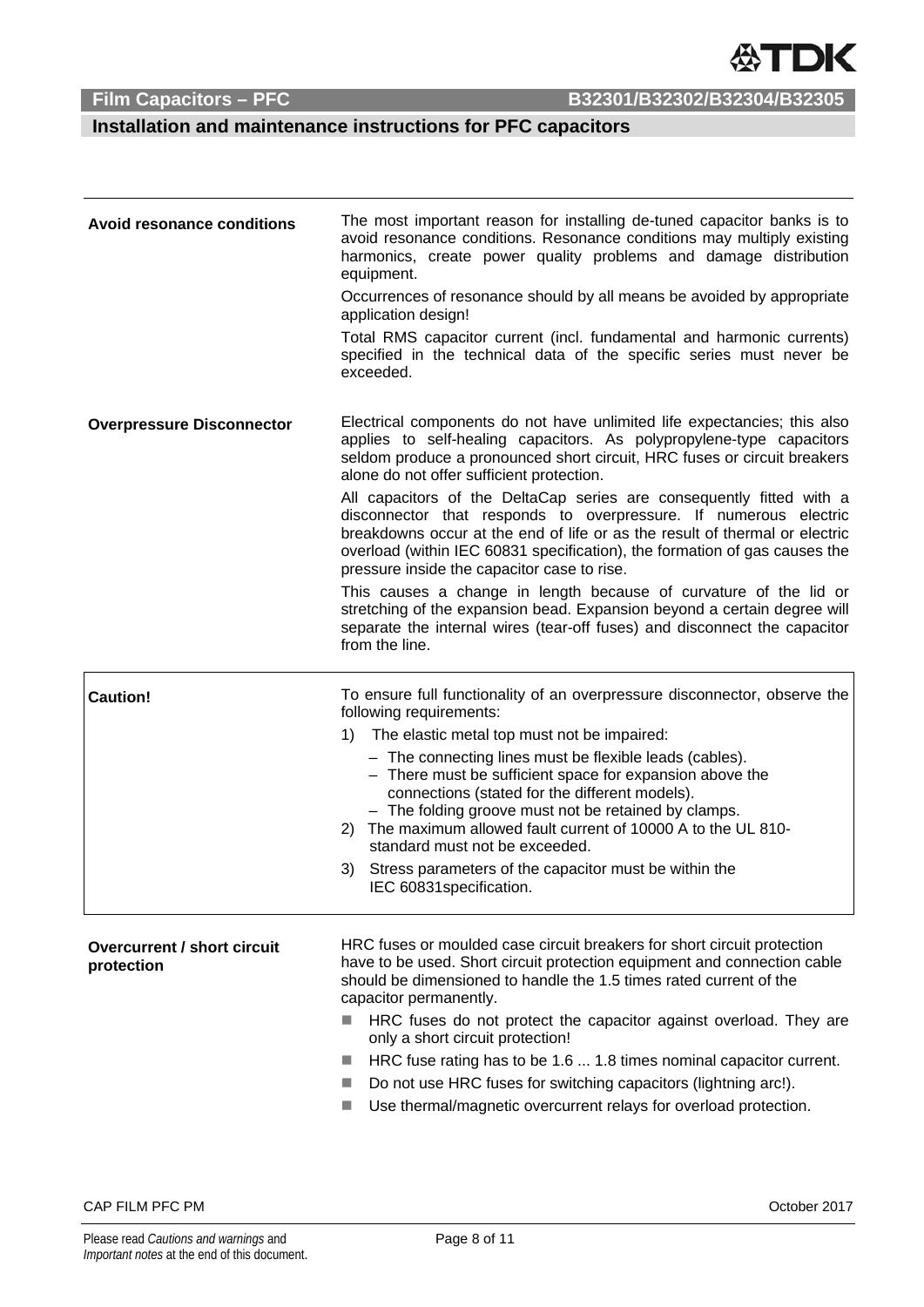

## **Installation and maintenance instructions for PFC capacitors**

| <b>Avoid resonance conditions</b>                | The most important reason for installing de-tuned capacitor banks is to<br>avoid resonance conditions. Resonance conditions may multiply existing<br>harmonics, create power quality problems and damage distribution<br>equipment.<br>Occurrences of resonance should by all means be avoided by appropriate<br>application design!<br>Total RMS capacitor current (incl. fundamental and harmonic currents)<br>specified in the technical data of the specific series must never be<br>exceeded.                                                                                                                                                                                                                                                                                                                                                                                |  |
|--------------------------------------------------|-----------------------------------------------------------------------------------------------------------------------------------------------------------------------------------------------------------------------------------------------------------------------------------------------------------------------------------------------------------------------------------------------------------------------------------------------------------------------------------------------------------------------------------------------------------------------------------------------------------------------------------------------------------------------------------------------------------------------------------------------------------------------------------------------------------------------------------------------------------------------------------|--|
| <b>Overpressure Disconnector</b>                 | Electrical components do not have unlimited life expectancies; this also<br>applies to self-healing capacitors. As polypropylene-type capacitors<br>seldom produce a pronounced short circuit, HRC fuses or circuit breakers<br>alone do not offer sufficient protection.<br>All capacitors of the DeltaCap series are consequently fitted with a<br>disconnector that responds to overpressure. If numerous electric<br>breakdowns occur at the end of life or as the result of thermal or electric<br>overload (within IEC 60831 specification), the formation of gas causes the<br>pressure inside the capacitor case to rise.<br>This causes a change in length because of curvature of the lid or<br>stretching of the expansion bead. Expansion beyond a certain degree will<br>separate the internal wires (tear-off fuses) and disconnect the capacitor<br>from the line. |  |
| <b>Caution!</b>                                  | To ensure full functionality of an overpressure disconnector, observe the<br>following requirements:                                                                                                                                                                                                                                                                                                                                                                                                                                                                                                                                                                                                                                                                                                                                                                              |  |
|                                                  | 1)<br>The elastic metal top must not be impaired:                                                                                                                                                                                                                                                                                                                                                                                                                                                                                                                                                                                                                                                                                                                                                                                                                                 |  |
|                                                  | - The connecting lines must be flexible leads (cables).<br>- There must be sufficient space for expansion above the<br>connections (stated for the different models).<br>- The folding groove must not be retained by clamps.<br>The maximum allowed fault current of 10000 A to the UL 810-<br>2)<br>standard must not be exceeded.                                                                                                                                                                                                                                                                                                                                                                                                                                                                                                                                              |  |
|                                                  | Stress parameters of the capacitor must be within the<br>3)<br>IEC 60831 specification.                                                                                                                                                                                                                                                                                                                                                                                                                                                                                                                                                                                                                                                                                                                                                                                           |  |
| <b>Overcurrent / short circuit</b><br>protection | HRC fuses or moulded case circuit breakers for short circuit protection<br>have to be used. Short circuit protection equipment and connection cable<br>should be dimensioned to handle the 1.5 times rated current of the<br>capacitor permanently.                                                                                                                                                                                                                                                                                                                                                                                                                                                                                                                                                                                                                               |  |
|                                                  | HRC fuses do not protect the capacitor against overload. They are<br>only a short circuit protection!                                                                                                                                                                                                                                                                                                                                                                                                                                                                                                                                                                                                                                                                                                                                                                             |  |
|                                                  | HRC fuse rating has to be 1.6  1.8 times nominal capacitor current.<br>$\mathcal{L}_{\mathcal{A}}$                                                                                                                                                                                                                                                                                                                                                                                                                                                                                                                                                                                                                                                                                                                                                                                |  |
|                                                  | Do not use HRC fuses for switching capacitors (lightning arc!).<br>E.                                                                                                                                                                                                                                                                                                                                                                                                                                                                                                                                                                                                                                                                                                                                                                                                             |  |
|                                                  | Use thermal/magnetic overcurrent relays for overload protection.                                                                                                                                                                                                                                                                                                                                                                                                                                                                                                                                                                                                                                                                                                                                                                                                                  |  |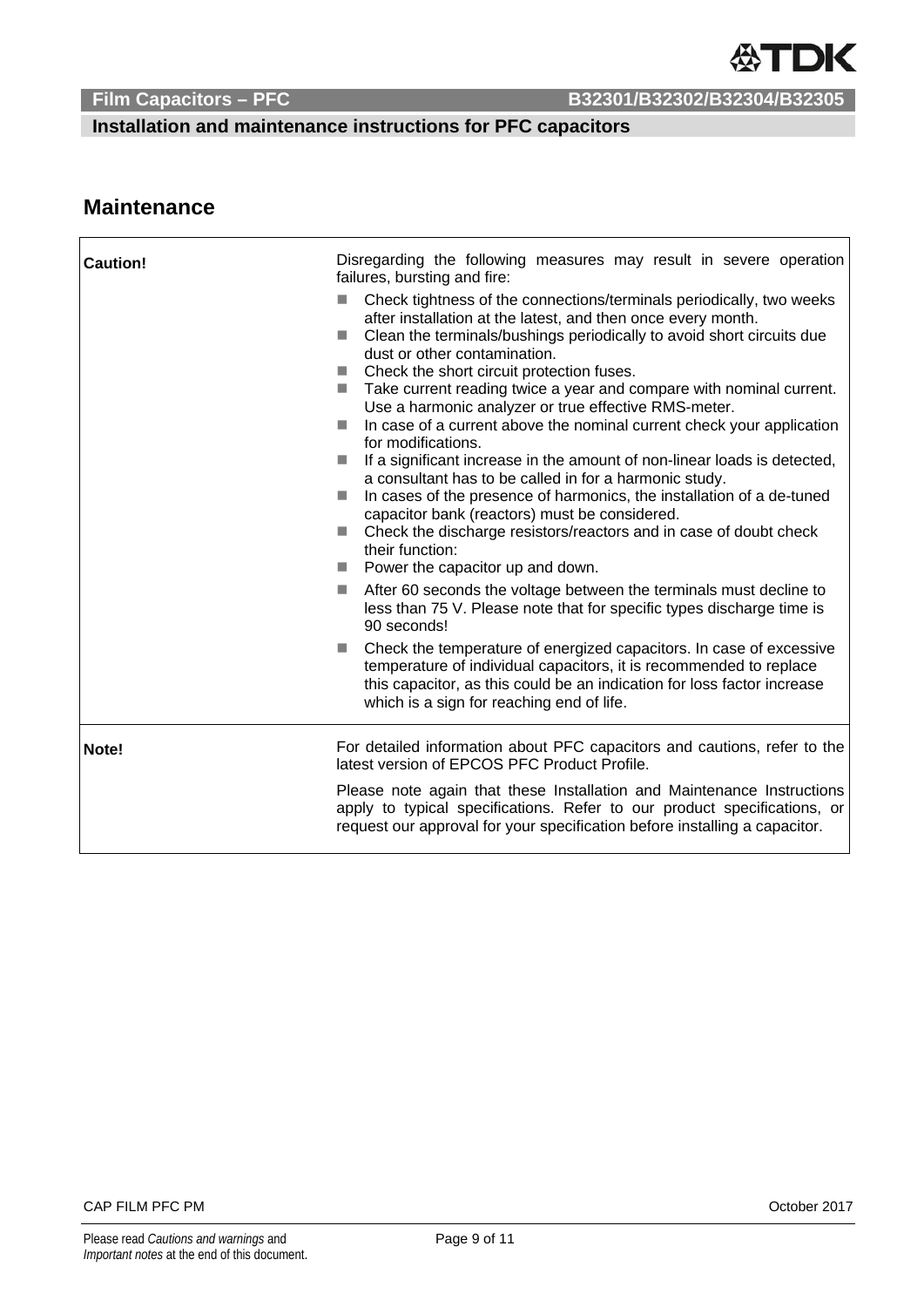**Installation and maintenance instructions for PFC capacitors** 

## **Maintenance**

 $\mathsf{r}$ 

| <b>Caution!</b> | Disregarding the following measures may result in severe operation<br>failures, bursting and fire:                                                                                                                                                                                                                                                                                                                                                                                                                                                                                                                                                                                                                                                                                                                                                                                                                                                                                                                                            |  |  |
|-----------------|-----------------------------------------------------------------------------------------------------------------------------------------------------------------------------------------------------------------------------------------------------------------------------------------------------------------------------------------------------------------------------------------------------------------------------------------------------------------------------------------------------------------------------------------------------------------------------------------------------------------------------------------------------------------------------------------------------------------------------------------------------------------------------------------------------------------------------------------------------------------------------------------------------------------------------------------------------------------------------------------------------------------------------------------------|--|--|
|                 | Check tightness of the connections/terminals periodically, two weeks<br><b>Tall</b><br>after installation at the latest, and then once every month.<br>Clean the terminals/bushings periodically to avoid short circuits due<br><b>Tall</b><br>dust or other contamination.<br>Check the short circuit protection fuses.<br><b>Tale</b><br>■ Take current reading twice a year and compare with nominal current.<br>Use a harmonic analyzer or true effective RMS-meter.<br>In case of a current above the nominal current check your application<br><b>Tale</b><br>for modifications.<br>If a significant increase in the amount of non-linear loads is detected,<br><b>COL</b><br>a consultant has to be called in for a harmonic study.<br>In cases of the presence of harmonics, the installation of a de-tuned<br><b>Tale</b><br>capacitor bank (reactors) must be considered.<br>Check the discharge resistors/reactors and in case of doubt check<br><b>Tall</b><br>their function:<br>$\blacksquare$ Power the capacitor up and down. |  |  |
|                 | After 60 seconds the voltage between the terminals must decline to<br><b>COL</b><br>less than 75 V. Please note that for specific types discharge time is<br>90 seconds!                                                                                                                                                                                                                                                                                                                                                                                                                                                                                                                                                                                                                                                                                                                                                                                                                                                                      |  |  |
|                 | Check the temperature of energized capacitors. In case of excessive<br><b>COL</b><br>temperature of individual capacitors, it is recommended to replace<br>this capacitor, as this could be an indication for loss factor increase<br>which is a sign for reaching end of life.                                                                                                                                                                                                                                                                                                                                                                                                                                                                                                                                                                                                                                                                                                                                                               |  |  |
| Note!           | For detailed information about PFC capacitors and cautions, refer to the<br>latest version of EPCOS PFC Product Profile.                                                                                                                                                                                                                                                                                                                                                                                                                                                                                                                                                                                                                                                                                                                                                                                                                                                                                                                      |  |  |
|                 | Please note again that these Installation and Maintenance Instructions<br>apply to typical specifications. Refer to our product specifications, or<br>request our approval for your specification before installing a capacitor.                                                                                                                                                                                                                                                                                                                                                                                                                                                                                                                                                                                                                                                                                                                                                                                                              |  |  |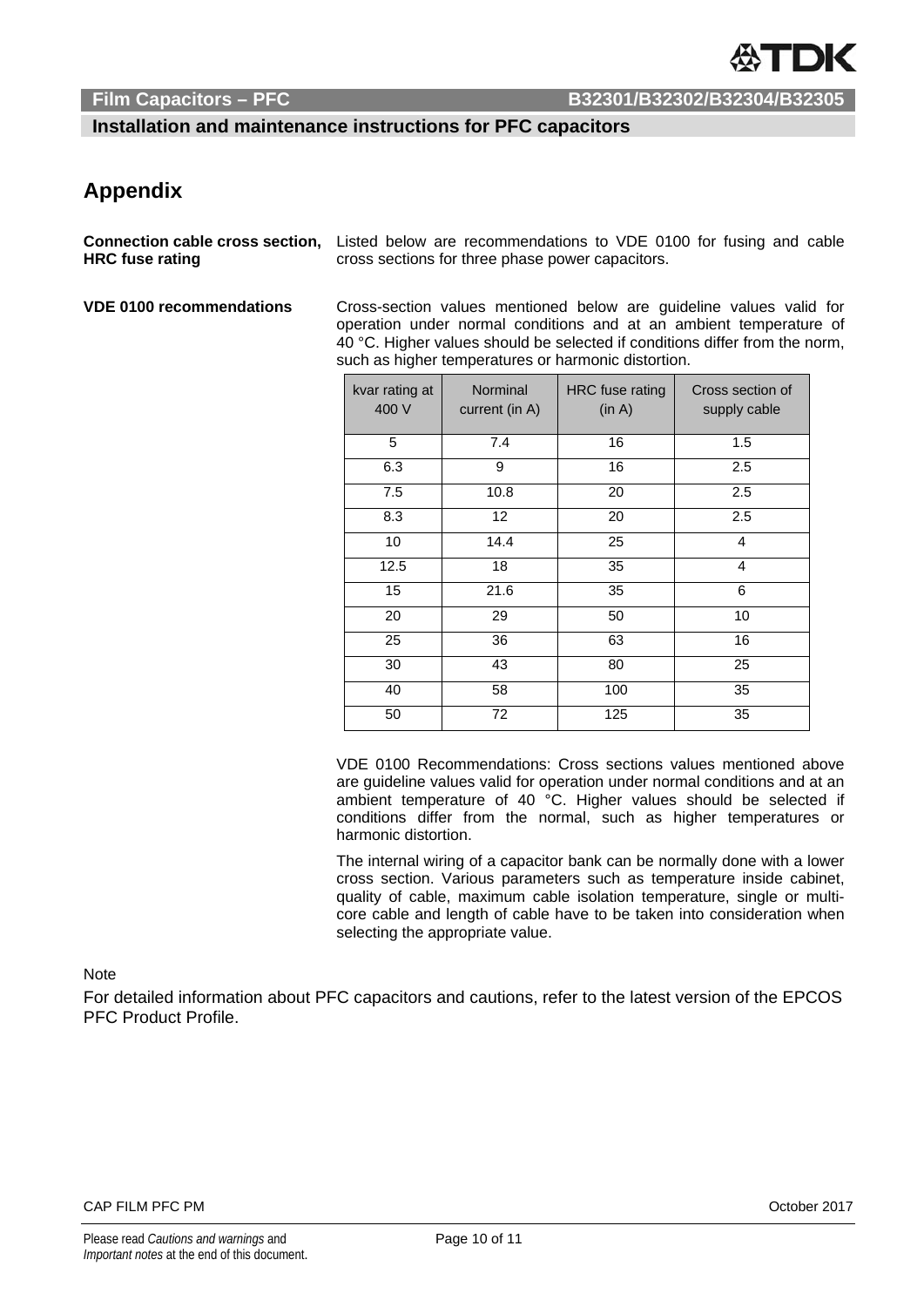**Installation and maintenance instructions for PFC capacitors** 

## **Appendix**

**Connection cable cross section, HRC fuse rating** 

Listed below are recommendations to VDE 0100 for fusing and cable cross sections for three phase power capacitors.

**VDE 0100 recommendations** Cross-section values mentioned below are guideline values valid for operation under normal conditions and at an ambient temperature of 40 °C. Higher values should be selected if conditions differ from the norm, such as higher temperatures or harmonic distortion.

| kvar rating at<br>400 V | Norminal<br>current (in A) | <b>HRC</b> fuse rating<br>(in A) | Cross section of<br>supply cable |
|-------------------------|----------------------------|----------------------------------|----------------------------------|
| 5                       | 7.4                        | 16                               | 1.5                              |
| 6.3                     | 9                          | 16                               | 2.5                              |
| 7.5                     | 10.8                       | 20                               | 2.5                              |
| 8.3                     | 12 <sup>2</sup>            | 20                               | 2.5                              |
| 10                      | 14.4                       | 25                               | $\overline{4}$                   |
| 12.5                    | 18                         | 35                               | $\overline{4}$                   |
| 15                      | 21.6                       | 35                               | 6                                |
| 20                      | 29                         | 50                               | 10                               |
| 25                      | 36                         | 63                               | 16                               |
| 30                      | 43                         | 80                               | 25                               |
| 40                      | 58                         | 100                              | 35                               |
| 50                      | 72                         | 125                              | 35                               |

VDE 0100 Recommendations: Cross sections values mentioned above are guideline values valid for operation under normal conditions and at an ambient temperature of 40 °C. Higher values should be selected if conditions differ from the normal, such as higher temperatures or harmonic distortion.

The internal wiring of a capacitor bank can be normally done with a lower cross section. Various parameters such as temperature inside cabinet, quality of cable, maximum cable isolation temperature, single or multicore cable and length of cable have to be taken into consideration when selecting the appropriate value.

### **Note**

For detailed information about PFC capacitors and cautions, refer to the latest version of the EPCOS PFC Product Profile.